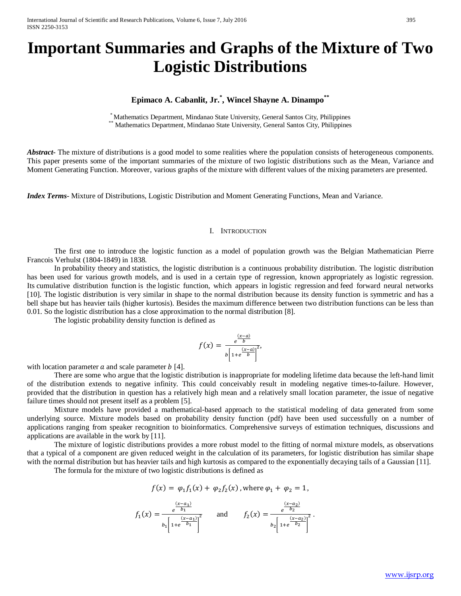# **Important Summaries and Graphs of the Mixture of Two Logistic Distributions**

## **Epimaco A. Cabanlit, Jr.\* , Wincel Shayne A. Dinampo\*\***

\* Mathematics Department, Mindanao State University, General Santos City, Philippines<br>\*\* Mathematics Department, Mindanao State University, General Santos City, Philippines

*Abstract* The mixture of distributions is a good model to some realities where the population consists of heterogeneous components. This paper presents some of the important summaries of the mixture of two logistic distributions such as the Mean, Variance and Moment Generating Function. Moreover, various graphs of the mixture with different values of the mixing parameters are presented.

*Index Terms*- Mixture of Distributions, Logistic Distribution and Moment Generating Functions, Mean and Variance.

## I. INTRODUCTION

The first one to introduce the logistic function as a model of population growth was the Belgian Mathematician Pierre Francois Verhulst (1804-1849) in 1838.

In [probability theory](https://en.wikipedia.org/wiki/Probability_theory) and [statistics,](https://en.wikipedia.org/wiki/Statistics) the logistic distribution is a continuous probability distribution. The logistic distribution has been used for various growth models, and is used in a certain type of regression, known appropriately as logistic regression. Its [cumulative distribution function](https://en.wikipedia.org/wiki/Cumulative_distribution_function) is the [logistic function,](https://en.wikipedia.org/wiki/Logistic_function) which appears in [logistic regression](https://en.wikipedia.org/wiki/Logistic_regression) and [feed forward neural networks](https://en.wikipedia.org/wiki/Feedforward_neural_network) [10]. The logistic distribution is very similar in shape to the normal distribution because its density function is symmetric and has a bell shape but has heavier tails (higher kurtosis). Besides the maximum difference between two distribution functions can be less than 0.01. So the logistic distribution has a close approximation to the normal distribution [8].

The logistic probability density function is defined as

$$
f(x) = \frac{e^{\frac{(x-a)}{b}}}{b\left[1 + e^{\frac{(x-a)}{b}}\right]^2},
$$

with location parameter  $\alpha$  and scale parameter  $\alpha$  [4].

There are some who argue that the logistic distribution is inappropriate for modeling lifetime data because the left-hand limit of the distribution extends to negative infinity. This could conceivably result in modeling negative times-to-failure. However, provided that the distribution in question has a relatively high mean and a relatively small location parameter, the issue of negative failure times should not present itself as a problem [5].

Mixture models have provided a mathematical-based approach to the statistical modeling of data generated from some underlying source. Mixture models based on probability density function (pdf) have been used successfully on a number of applications ranging from speaker recognition to bioinformatics. Comprehensive surveys of estimation techniques, discussions and applications are available in the work by [11].

The mixture of logistic distributions provides a more robust model to the fitting of normal mixture models, as observations that a typical of a component are given reduced weight in the calculation of its parameters, for logistic distribution has similar shape with the normal distribution but has heavier tails and high kurtosis as compared to the exponentially decaying tails of a Gaussian [11].

The formula for the mixture of two logistic distributions is defined as

$$
f(x) = \varphi_1 f_1(x) + \varphi_2 f_2(x)
$$
, where  $\varphi_1 + \varphi_2 = 1$ ,

$$
f_1(x) = \frac{e^{\frac{(x-a_1)}{b_1}}}{b_1 \left[1 + e^{\frac{(x-a_1)}{b_1}}\right]^2} \quad \text{and} \quad f_2(x) = \frac{e^{\frac{(x-a_2)}{b_2}}}{b_2 \left[1 + e^{\frac{(x-a_2)}{b_2}}\right]^2}.
$$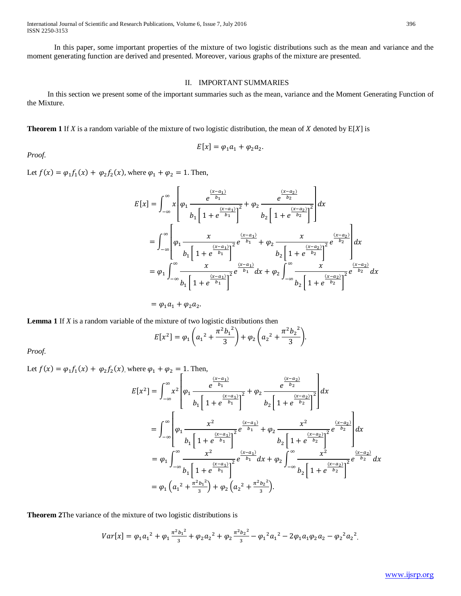International Journal of Scientific and Research Publications, Volume 6, Issue 7, July 2016 396 ISSN 2250-3153

In this paper, some important properties of the mixture of two logistic distributions such as the mean and variance and the moment generating function are derived and presented. Moreover, various graphs of the mixture are presented.

## II. IMPORTANT SUMMARIES

In this section we present some of the important summaries such as the mean, variance and the Moment Generating Function of the Mixture.

**Theorem 1** If *X* is a random variable of the mixture of two logistic distribution, the mean of *X* denoted by  $E[X]$  is

$$
E[x] = \varphi_1 a_1 + \varphi_2 a_2.
$$

*Proof.* 

Let  $f(x) = \varphi_1 f_1(x) + \varphi_2 f_2(x)$ , where  $\varphi_1 + \varphi_2 = 1$ . Then,

$$
E[x] = \int_{-\infty}^{\infty} x \left[ \varphi_1 \frac{e^{\frac{(x-a_1)}{b_1}}}{b_1 \left[ 1 + e^{\frac{(x-a_1)}{b_1}} \right]^2} + \varphi_2 \frac{e^{\frac{(x-a_2)}{b_2}}}{b_2 \left[ 1 + e^{\frac{(x-a_2)}{b_2}} \right]^2} \right] dx
$$
  

$$
= \int_{-\infty}^{\infty} \left[ \varphi_1 \frac{x}{b_1 \left[ 1 + e^{\frac{(x-a_1)}{b_1}} \right]^2} e^{\frac{(x-a_1)}{b_1}} + \varphi_2 \frac{x}{b_2 \left[ 1 + e^{\frac{(x-a_2)}{b_2}} \right]^2} e^{\frac{(x-a_2)}{b_2}} \right] dx
$$
  

$$
= \varphi_1 \int_{-\infty}^{\infty} \frac{x}{b_1 \left[ 1 + e^{\frac{(x-a_1)}{b_1}} \right]^2} e^{\frac{(x-a_1)}{b_1}} dx + \varphi_2 \int_{-\infty}^{\infty} \frac{x}{b_2 \left[ 1 + e^{\frac{(x-a_2)}{b_2}} \right]^2} e^{\frac{(x-a_2)}{b_2}} dx
$$

 $= \varphi_1 a_1 + \varphi_2 a_2.$ 

**Lemma 1** If *X* is a random variable of the mixture of two logistic distributions then

$$
E[x^{2}] = \varphi_{1}\left(a_{1}^{2} + \frac{\pi^{2}b_{1}^{2}}{3}\right) + \varphi_{2}\left(a_{2}^{2} + \frac{\pi^{2}b_{2}^{2}}{3}\right).
$$

*Proof.* 

Let  $f(x) = \varphi_1 f_1(x) + \varphi_2 f_2(x)$ , where  $\varphi_1 + \varphi_2 = 1$ . The  $E[x^2] = \int_0^\infty x^2$ −∞ ⎣ ⎢ ⎢ ⎢ ⎡  $\varphi_1 \frac{e}{r}$  $rac{(x-a_1)}{b_1}$  $b_1 \left[ 1 + e^{\frac{(x-a_1)}{b_1}} \right]$  $\frac{e}{2} + \varphi_2 \xrightarrow{e}$  $\frac{(x-a_2)}{b_2}$  $b_2\left[1 + e^{\frac{(x-a_2)}{b_2}}\right]$ 2 ⎦ ⎥  $\overline{\phantom{a}}$  $\cdot$  $\overline{\phantom{a}}$  $dx$  $= |$ ⎣ ⎢ ⎢ ⎢ ⎡  $\varphi_1$  $x^2$  $b_1 \left[ 1 + e^{\frac{(x-a_1)}{b_1}} \right]$  $\overline{z}$ e  $\frac{(x-a_1)}{x-a_2}$  $b_1$  +  $\varphi_2$  $x^2$  $b_2\left[1 + e^{\frac{(x-a_2)}{b_2}}\right]$  $\overline{z}$ e  $\frac{(x-a_2)}{b_2}$ ⎦ ⎥ ⎥  $\begin{array}{c|c} \infty & x^2 & \frac{(x-a_1)}{b_1} + a_2 & x^2 & \frac{(x-a_2)}{b_2} \\ \hline \end{array}$  $-\infty$   $\left|\frac{\varphi_1}{h}\right|_{h=1}$   $\frac{(x-a_1)}{h}e^{-\varphi_1}$   $+\varphi_2$   $\frac{(x-a_2)}{h=1+a^{-\varphi_2}}e^{-\varphi_2}$   $dx$  $=\varphi_1 \int_{0}^{\infty} \frac{x^2}{\sqrt{x^2}}$  $b_1 \left[ 1 + e^{\frac{(x-a_1)}{b_1}} \right]$ 2 ∞  $-\infty$ <sub>b</sub>  $\left[1 + \frac{(x-a_1)}{b_1}\right]^2$ e  $\int_{b_1}^{(x-a_1)} dx + \varphi_2 \int_{-\pi}^{\infty} \frac{x^2}{\pi}$  $b_2\left[1 + e^{\frac{(x-a_2)}{b_2}}\right]$  $\overline{c}$  e  $\frac{(x-a_2)}{b_2}$ ∞  $-\infty$ <sub>b</sub>  $\left[1 + \frac{(x-a_2)}{b_2}\right]^2$ <sup>2</sup>  $e^{b_2} dx$  $=\varphi_1\left(a_1{}^2+\frac{\pi^2{b_1}^2}{3}\right)+\varphi_2\left(a_2{}^2+\frac{\pi^2{b_2}^2}{3}\right).$ 

**Theorem 2**The variance of the mixture of two logistic distributions is

$$
Var[x] = \varphi_1 a_1^2 + \varphi_1 \frac{\pi^2 b_1^2}{3} + \varphi_2 a_2^2 + \varphi_2 \frac{\pi^2 b_2^2}{3} - \varphi_1^2 a_1^2 - 2\varphi_1 a_1 \varphi_2 a_2 - \varphi_2^2 a_2^2.
$$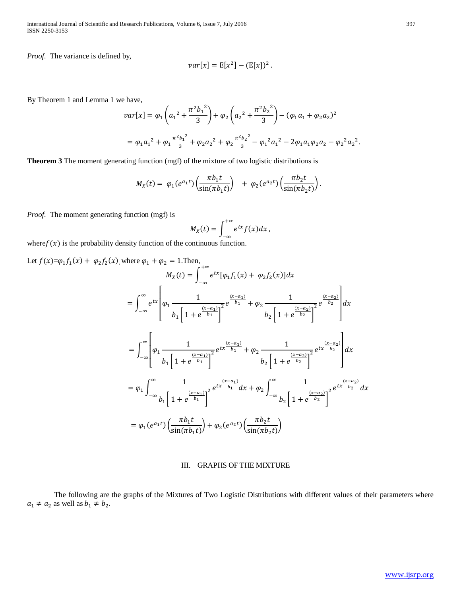International Journal of Scientific and Research Publications, Volume 6, Issue 7, July 2016 397 ISSN 2250-3153

*Proof.* The variance is defined by,

$$
var[x] = E[x^2] - (E[x])^2.
$$

By Theorem 1 and Lemma 1 we have,

$$
var[x] = \varphi_1 \left( a_1^2 + \frac{\pi^2 b_1^2}{3} \right) + \varphi_2 \left( a_2^2 + \frac{\pi^2 b_2^2}{3} \right) - (\varphi_1 a_1 + \varphi_2 a_2)^2
$$
  
=  $\varphi_1 a_1^2 + \varphi_1 \frac{\pi^2 b_1^2}{3} + \varphi_2 a_2^2 + \varphi_2 \frac{\pi^2 b_2^2}{3} - \varphi_1^2 a_1^2 - 2\varphi_1 a_1 \varphi_2 a_2 - \varphi_2^2 a_2^2.$ 

**Theorem 3** The moment generating function (mgf) of the mixture of two logistic distributions is

$$
M_X(t) = \varphi_1(e^{a_1t}) \left( \frac{\pi b_1 t}{\sin(\pi b_1 t)} \right) + \varphi_2(e^{a_2t}) \left( \frac{\pi b_2 t}{\sin(\pi b_2 t)} \right).
$$

*Proof.* The moment generating function (mgf) is

$$
M_X(t)=\int_{-\infty}^{+\infty}e^{tx}f(x)dx,
$$

where  $f(x)$  is the probability density function of the continuous function.

Let 
$$
f(x)=\varphi_1 f_1(x) + \varphi_2 f_2(x)
$$
, where  $\varphi_1 + \varphi_2 = 1$ . Then,  
\n
$$
M_X(t) = \int_{-\infty}^{+\infty} e^{tx} [\varphi_1 f_1(x) + \varphi_2 f_2(x)] dx
$$
\n
$$
= \int_{-\infty}^{\infty} e^{tx} \left[ \varphi_1 \frac{1}{\left[ 1 + e^{\frac{(x-a_1)}{b_1}} \right]^2} e^{\frac{(x-a_1)}{b_1}} + \varphi_2 \frac{1}{b_2 \left[ 1 + e^{\frac{(x-a_2)}{b_2}} \right]^2} e^{\frac{(x-a_2)}{b_2}} \right] dx
$$
\n
$$
= \int_{-\infty}^{\infty} \left[ \varphi_1 \frac{1}{\left[ 1 + e^{\frac{(x-a_1)}{b_1}} \right]^2} e^{tx \frac{(x-a_1)}{b_1}} + \varphi_2 \frac{1}{\left[ 1 + e^{\frac{(x-a_2)}{b_2}} \right]^2} e^{tx \frac{(x-a_2)}{b_2}} \right] dx
$$
\n
$$
= \varphi_1 \int_{-\infty}^{\infty} \frac{1}{\left[ 1 + e^{\frac{(x-a_1)}{b_1}} \right]^2} e^{tx \frac{(x-a_1)}{b_1}} dx + \varphi_2 \int_{-\infty}^{\infty} \frac{1}{\left[ 1 + e^{\frac{(x-a_2)}{b_2}} \right]^2} e^{tx \frac{(x-a_2)}{b_2}} dx
$$
\n
$$
= \varphi_1 (e^{a_1 t}) \left( \frac{\pi b_1 t}{\sin(\pi b_1 t)} \right) + \varphi_2 (e^{a_2 t}) \left( \frac{\pi b_2 t}{\sin(\pi b_2 t)} \right)
$$

## III. GRAPHS OF THE MIXTURE

The following are the graphs of the Mixtures of Two Logistic Distributions with different values of their parameters where  $a_1 \neq a_2$  as well as  $b_1 \neq b_2$ .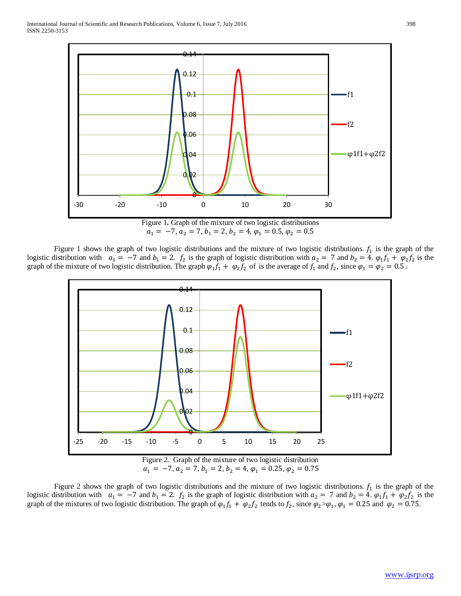

 $a_1 = -7, a_2 = 7, b_1 = 2, b_2 = 4, \varphi_1 = 0.5, \varphi_2 = 0.5$ 

Figure 1 shows the graph of two logistic distributions and the mixture of two logistic distributions.  $f_1$  is the graph of the logistic distribution with  $a_1 = -7$  and  $b_1 = 2$ .  $f_2$  is the graph of logistic distribution with  $a_2 = 7$  and  $b_2 = 4$ .  $\varphi_1 f_1 + \varphi_2 f_2$  is the graph of the mixture of two logistic distribution. The graph  $\varphi_1 f_1 + \varphi_2 f_2$  of is the average of  $f_1$  and  $f_2$ , since  $\varphi_1 = \varphi_2 = 0.5$ .



Figure 2 shows the graph of two logistic distributions and the mixture of two logistic distributions.  $f_1$  is the graph of the logistic distribution with  $a_1 = -7$  and  $b_1 = 2$ .  $f_2$  is the graph of logistic distribution with  $a_2 = 7$  and  $b_2 = 4$ .  $\varphi_1 f_1 + \varphi_2 f_2$  is the graph of the mixtures of two logistic distribution. The graph of  $\varphi_1 f_1 + \varphi_2 f_2$  tends to  $f_2$ , since  $\varphi_2 > \varphi_1$ ,  $\varphi_1 = 0.25$  and  $\varphi_2 = 0.75$ .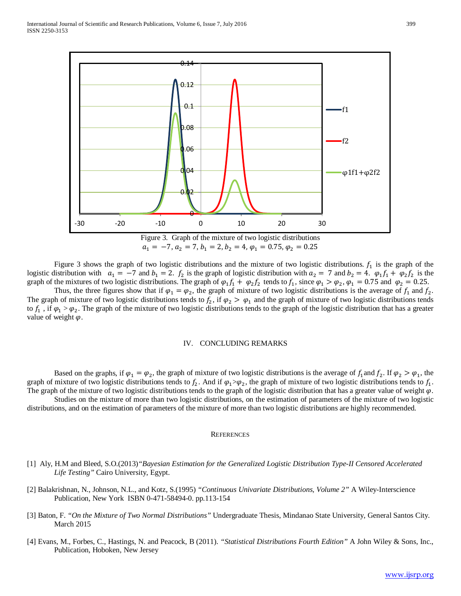

Figure 3. Graph of the mixture of two logistic distributions  $a_1 = -7, a_2 = 7, b_1 = 2, b_2 = 4, \varphi_1 = 0.75, \varphi_2 = 0.25$ 

Figure 3 shows the graph of two logistic distributions and the mixture of two logistic distributions.  $f_1$  is the graph of the logistic distribution with  $a_1 = -7$  and  $b_1 = 2$ .  $f_2$  is the graph of logistic distribution with  $a_2 = 7$  and  $b_2 = 4$ .  $\varphi_1 f_1 + \varphi_2 f_2$  is the graph of the mixtures of two logistic distributions. The graph of  $\varphi_1 f_1 + \varphi_2 f_2$  tends to  $f_1$ , since  $\varphi_1 > \varphi_2$ ,  $\varphi_1 = 0.75$  and  $\varphi_2 = 0.25$ .

Thus, the three figures show that if  $\varphi_1 = \varphi_2$ , the graph of mixture of two logistic distributions is the average of  $f_1$  and  $f_2$ . The graph of mixture of two logistic distributions tends to  $f_2$ , if  $\varphi_2 > \varphi_1$  and the graph of mixture of two logistic distributions tends to  $f_1$ , if  $\varphi_1 > \varphi_2$ . The graph of the mixture of two logistic distributions tends to the graph of the logistic distribution that has a greater value of weight  $\varphi$ .

## IV. CONCLUDING REMARKS

Based on the graphs, if  $\varphi_1 = \varphi_2$ , the graph of mixture of two logistic distributions is the average of  $f_1$  and  $f_2$ . If  $\varphi_2 > \varphi_1$ , the graph of mixture of two logistic distributions tends to  $f_2$ . And if  $\varphi_1 > \varphi_2$ , the graph of mixture of two logistic distributions tends to  $f_1$ . The graph of the mixture of two logistic distributions tends to the graph of the logistic distribution that has a greater value of weight  $\varphi$ . Studies on the mixture of more than two logistic distributions, on the estimation of parameters of the mixture of two logistic

distributions, and on the estimation of parameters of the mixture of more than two logistic distributions are highly recommended.

#### **REFERENCES**

- [1] Aly, H.M and Bleed, S.O.(2013)*"Bayesian Estimation for the Generalized Logistic Distribution Type-II Censored Accelerated Life Testing"* Cairo University, Egypt.
- [2] Balakrishnan, N., Johnson, N.L., and Kotz, S.(1995) *"Continuous Univariate Distributions, Volume 2"* A Wiley-Interscience Publication, New York ISBN 0-471-58494-0. pp.113-154
- [3] Baton, F. *"On the Mixture of Two Normal Distributions"* Undergraduate Thesis, Mindanao State University, General Santos City. March 2015
- [4] Evans, M., Forbes, C., Hastings, N. and Peacock, B (2011). *"Statistical Distributions Fourth Edition"* A John Wiley & Sons, Inc., Publication, Hoboken, New Jersey